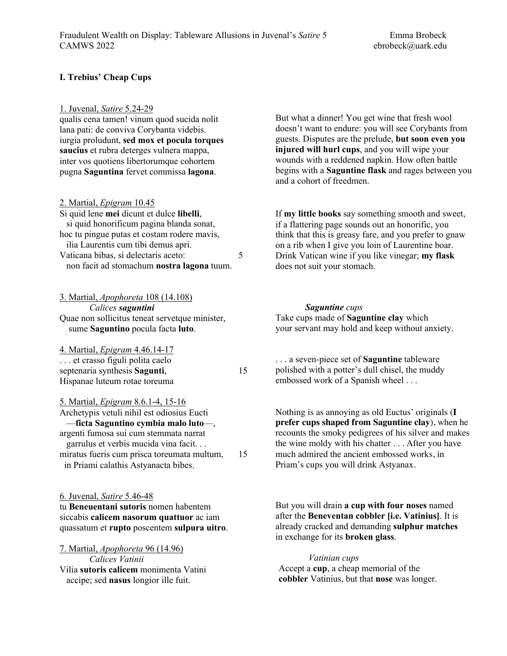## **I. Trebius' Cheap Cups**

#### 1. Juvenal, *Satire* 5.24-29

qualis cena tamen! vinum quod sucida nolit lana pati: de conviva Corybanta videbis. iurgia proludunt, **sed mox et pocula torques saucius** et rubra deterges vulnera mappa, inter vos quotiens libertorumque cohortem pugna **Saguntina** fervet commissa **lagona**.

2. Martial, *Epigram* 10.45

| Si quid lene mei dicunt et dulce libelli,   |   |
|---------------------------------------------|---|
| si quid honorificum pagina blanda sonat,    |   |
| hoc tu pingue putas et costam rodere mavis, |   |
| ilia Laurentis cum tibi demus apri.         |   |
| Vaticana bibas, si delectaris aceto:        | 5 |
| non facit ad stomachum nostra lagona tuum.  |   |

3. Martial, *Apophoreta* 108 (14.108) *Calices saguntini* Quae non sollicitus teneat servetque minister, sume **Saguntino** pocula facta **luto**.

4. Martial, *Epigram* 4.46.14-17 . . . et crasso figuli polita caelo septenaria synthesis **Sagunti**, 15 Hispanae luteum rotae toreuma

5. Martial, *Epigram* 8.6.1-4, 15-16 Archetypis vetuli nihil est odiosius Eucti —**ficta Saguntino cymbia malo luto**—,

argenti fumosa sui cum stemmata narrat garrulus et verbis mucida vina facit. . . miratus fueris cum prisca toreumata multum, 15 in Priami calathis Astyanacta bibes.

6. Juvenal, *Satire* 5.46-48 tu **Beneuentani sutoris** nomen habentem siccabis **calicem nasorum quattuor** ac iam quassatum et **rupto** poscentem **sulpura uitro**.

7. Martial, *Apophoreta* 96 (14.96) *Calices Vatinii* Vilia **sutoris calicem** monimenta Vatini accipe; sed **nasus** longior ille fuit.

But what a dinner! You get wine that fresh wool doesn't want to endure: you will see Corybants from guests. Disputes are the prelude, **but soon even you injured will hurl cups**, and you will wipe your wounds with a reddened napkin. How often battle begins with a **Saguntine flask** and rages between you and a cohort of freedmen.

If **my little books** say something smooth and sweet, if a flattering page sounds out an honorific, you think that this is greasy fare, and you prefer to gnaw on a rib when I give you loin of Laurentine boar. Drink Vatican wine if you like vinegar; **my flask** does not suit your stomach.

## *Saguntine cups*

Take cups made of **Saguntine clay** which your servant may hold and keep without anxiety.

. . . a seven-piece set of **Saguntine** tableware polished with a potter's dull chisel, the muddy embossed work of a Spanish wheel . . .

Nothing is as annoying as old Euctus' originals (**I prefer cups shaped from Saguntine clay**), when he recounts the smoky pedigrees of his silver and makes the wine moldy with his chatter . . . After you have much admired the ancient embossed works, in Priam's cups you will drink Astyanax.

But you will drain **a cup with four noses** named after the **Beneventan cobbler [i.e. Vatinius]**. It is already cracked and demanding **sulphur matches** in exchange for its **broken glass**.

*Vatinian cups*  Accept a **cup**, a cheap memorial of the **cobbler** Vatinius, but that **nose** was longer.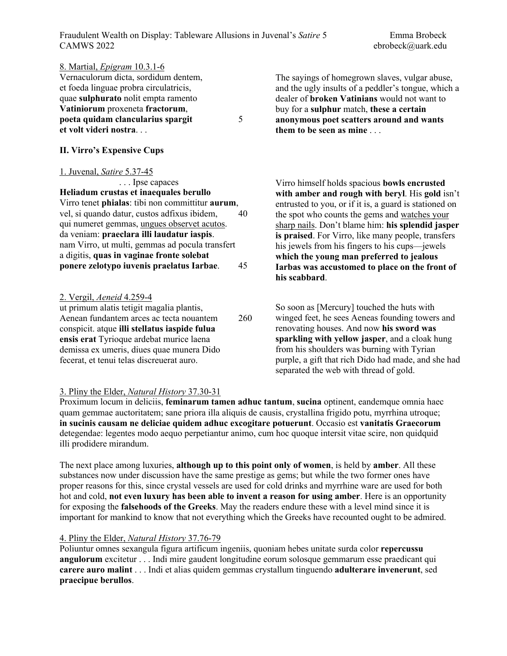Fraudulent Wealth on Display: Tableware Allusions in Juvenal's *Satire* 5 Emma Brobeck CAMWS 2022 ebrobeck@uark.edu

| 8. Martial, <i>Epigram</i> 10.3.1-6<br>Vernaculorum dicta, sordidum dentem,<br>et foeda linguae probra circulatricis,<br>quae sulphurato nolit empta ramento<br>Vatiniorum proxeneta fractorum,<br>poeta quidam clancularius spargit<br>et volt videri nostra<br>II. Virro's Expensive Cups                                                                                                                                        | 5        | The sayings of homegrown slaves, vulgar abuse,<br>and the ugly insults of a peddler's tongue, which a<br>dealer of <b>broken Vatinians</b> would not want to<br>buy for a sulphur match, these a certain<br>anonymous poet scatters around and wants<br>them to be seen as mine                                                                                                                                                                                                        |
|------------------------------------------------------------------------------------------------------------------------------------------------------------------------------------------------------------------------------------------------------------------------------------------------------------------------------------------------------------------------------------------------------------------------------------|----------|----------------------------------------------------------------------------------------------------------------------------------------------------------------------------------------------------------------------------------------------------------------------------------------------------------------------------------------------------------------------------------------------------------------------------------------------------------------------------------------|
| 1. Juvenal, Satire 5.37-45<br>Ipse capaces<br>Heliadum crustas et inaequales berullo<br>Virro tenet phialas: tibi non committitur aurum,<br>vel, si quando datur, custos adfixus ibidem,<br>qui numeret gemmas, ungues observet acutos.<br>da veniam: praeclara illi laudatur iaspis.<br>nam Virro, ut multi, gemmas ad pocula transfert<br>a digitis, quas in vaginae fronte solebat<br>ponere zelotypo iuvenis praelatus Iarbae. | 40<br>45 | Virro himself holds spacious bowls encrusted<br>with amber and rough with beryl. His gold isn't<br>entrusted to you, or if it is, a guard is stationed on<br>the spot who counts the gems and watches your<br>sharp nails. Don't blame him: his splendid jasper<br>is praised. For Virro, like many people, transfers<br>his jewels from his fingers to his cups—jewels<br>which the young man preferred to jealous<br>Iarbas was accustomed to place on the front of<br>his scabbard. |
| <u>2. Vergil, Aeneid 4.259-4</u><br>ut primum alatis tetigit magalia plantis,<br>Aenean fundantem arces ac tecta nouantem<br>conspicit. atque illi stellatus iaspide fulua<br>ensis erat Tyrioque ardebat murice laena<br>demissa ex umeris, diues quae munera Dido<br>fecerat, et tenui telas discreuerat auro.                                                                                                                   | 260      | So soon as [Mercury] touched the huts with<br>winged feet, he sees Aeneas founding towers and<br>renovating houses. And now his sword was<br>sparkling with yellow jasper, and a cloak hung<br>from his shoulders was burning with Tyrian<br>purple, a gift that rich Dido had made, and she had<br>separated the web with thread of gold.                                                                                                                                             |

# 3. Pliny the Elder, *Natural History* 37.30-31

Proximum locum in deliciis, **feminarum tamen adhuc tantum**, **sucina** optinent, eandemque omnia haec quam gemmae auctoritatem; sane priora illa aliquis de causis, crystallina frigido potu, myrrhina utroque; **in sucinis causam ne deliciae quidem adhuc excogitare potuerunt**. Occasio est **vanitatis Graecorum** detegendae: legentes modo aequo perpetiantur animo, cum hoc quoque intersit vitae scire, non quidquid illi prodidere mirandum.

The next place among luxuries, **although up to this point only of women**, is held by **amber**. All these substances now under discussion have the same prestige as gems; but while the two former ones have proper reasons for this, since crystal vessels are used for cold drinks and myrrhine ware are used for both hot and cold, **not even luxury has been able to invent a reason for using amber**. Here is an opportunity for exposing the **falsehoods of the Greeks**. May the readers endure these with a level mind since it is important for mankind to know that not everything which the Greeks have recounted ought to be admired.

# 4. Pliny the Elder, *Natural History* 37.76-79

Poliuntur omnes sexangula figura artificum ingeniis, quoniam hebes unitate surda color **repercussu angulorum** excitetur . . . Indi mire gaudent longitudine eorum solosque gemmarum esse praedicant qui **carere auro malint** . . . Indi et alias quidem gemmas crystallum tinguendo **adulterare invenerunt**, sed **praecipue berullos**.